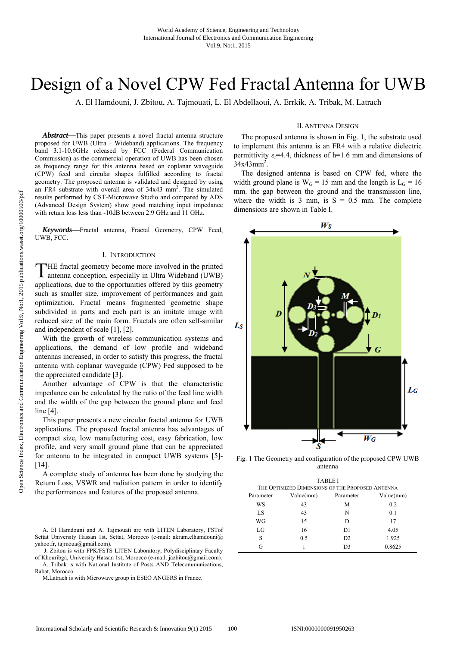# Design of a Novel CPW Fed Fractal Antenna for UWB

A. El Hamdouni, J. Zbitou, A. Tajmouati, L. El Abdellaoui, A. Errkik, A. Tribak, M. Latrach

*Abstract***—**This paper presents a novel fractal antenna structure proposed for UWB (Ultra – Wideband) applications. The frequency band 3.1-10.6GHz released by FCC (Federal Communication Commission) as the commercial operation of UWB has been chosen as frequency range for this antenna based on coplanar waveguide (CPW) feed and circular shapes fulfilled according to fractal geometry. The proposed antenna is validated and designed by using an FR4 substrate with overall area of 34x43 mm<sup>2</sup>. The simulated results performed by CST-Microwave Studio and compared by ADS (Advanced Design System) show good matching input impedance with return loss less than -10dB between 2.9 GHz and 11 GHz.

*Keywords***—**Fractal antenna, Fractal Geometry, CPW Feed, UWB, FCC.

#### I. INTRODUCTION

HE fractal geometry become more involved in the printed THE fractal geometry become more involved in the printed antenna conception, especially in Ultra Wideband (UWB) applications, due to the opportunities offered by this geometry such as smaller size, improvement of performances and gain optimization. Fractal means fragmented geometric shape subdivided in parts and each part is an imitate image with reduced size of the main form. Fractals are often self-similar and independent of scale [1], [2].

With the growth of wireless communication systems and applications, the demand of low profile and wideband antennas increased, in order to satisfy this progress, the fractal antenna with coplanar waveguide (CPW) Fed supposed to be the appreciated candidate [3].

Another advantage of CPW is that the characteristic impedance can be calculated by the ratio of the feed line width and the width of the gap between the ground plane and feed line [4].

This paper presents a new circular fractal antenna for UWB applications. The proposed fractal antenna has advantages of compact size, low manufacturing cost, easy fabrication, low profile, and very small ground plane that can be appreciated for antenna to be integrated in compact UWB systems [5]- [14].

A complete study of antenna has been done by studying the Return Loss, VSWR and radiation pattern in order to identify the performances and features of the proposed antenna.

A. El Hamdouni and A. Tajmouati are with LITEN Laboratory, FSTof Settat University Hassan 1st, Settat, Morocco (e-mail: akram.elhamdouni@ yahoo.fr, tajmoua@gmail.com).

 J. Zbitou is with FPK/FSTS LITEN Laboratory, Polydisciplinary Faculty of Khouribga, University Hassan 1st, Morocco (e-mail: jazbitou@gmail.com).

A. Tribak is with National Institute of Posts AND Telecommunications, Rabat, Morocco.

M.Latrach is with Microwave group in ESEO ANGERS in France.

#### II.ANTENNA DESIGN

The proposed antenna is shown in Fig. 1, the substrate used to implement this antenna is an FR4 with a relative dielectric permittivity  $\varepsilon = 4.4$ , thickness of h=1.6 mm and dimensions of  $34x43mm^2$ .

The designed antenna is based on CPW fed, where the width ground plane is  $W_G = 15$  mm and the length is  $L_G = 16$ mm. the gap between the ground and the transmission line, where the width is 3 mm, is  $S = 0.5$  mm. The complete dimensions are shown in Table I.



Fig. 1 The Geometry and configuration of the proposed CPW UWB antenna

| <b>TABLE I</b>                                   |           |                |           |
|--------------------------------------------------|-----------|----------------|-----------|
| THE OPTIMIZED DIMENSIONS OF THE PROPOSED ANTENNA |           |                |           |
| Parameter                                        | Value(mm) | Parameter      | Value(mm) |
| WS                                               | 43        | М              | 0.2       |
| LS                                               | 43        | N              | 0.1       |
| WG                                               | 15        | D              | 17        |
| LG                                               | 16        | D1             | 4.05      |
| S                                                | 0.5       | D2             | 1.925     |
| G                                                |           | D <sub>3</sub> | 0.8625    |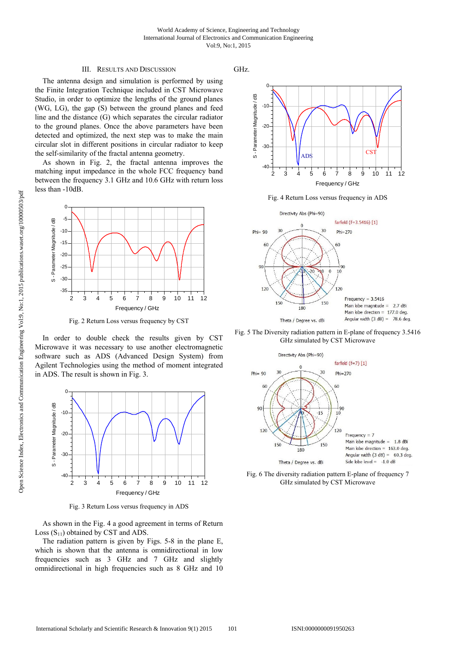#### III. RESULTS AND DISCUSSION

The antenna design and simulation is performed by using the Finite Integration Technique included in CST Microwave Studio, in order to optimize the lengths of the ground planes (WG, LG), the gap (S) between the ground planes and feed line and the distance (G) which separates the circular radiator to the ground planes. Once the above parameters have been detected and optimized, the next step was to make the main circular slot in different positions in circular radiator to keep the self-similarity of the fractal antenna geometry.

As shown in Fig. 2, the fractal antenna improves the matching input impedance in the whole FCC frequency band between the frequency 3.1 GHz and 10.6 GHz with return loss less than -10dB.



Fig. 2 Return Loss versus frequency by CST

In order to double check the results given by CST Microwave it was necessary to use another electromagnetic software such as ADS (Advanced Design System) from Agilent Technologies using the method of moment integrated in ADS. The result is shown in Fig. 3.



Fig. 3 Return Loss versus frequency in ADS

As shown in the Fig. 4 a good agreement in terms of Return Loss  $(S_{11})$  obtained by CST and ADS.

The radiation pattern is given by Figs. 5-8 in the plane E, which is shown that the antenna is omnidirectional in low frequencies such as 3 GHz and 7 GHz and slightly omnidirectional in high frequencies such as 8 GHz and 10 GHz.



Fig. 4 Return Loss versus frequency in ADS



Fig. 5 The Diversity radiation pattern in E-plane of frequency 3.5416 GHz simulated by CST Microwave



Fig. 6 The diversity radiation pattern E-plane of frequency 7 GHz simulated by CST Microwave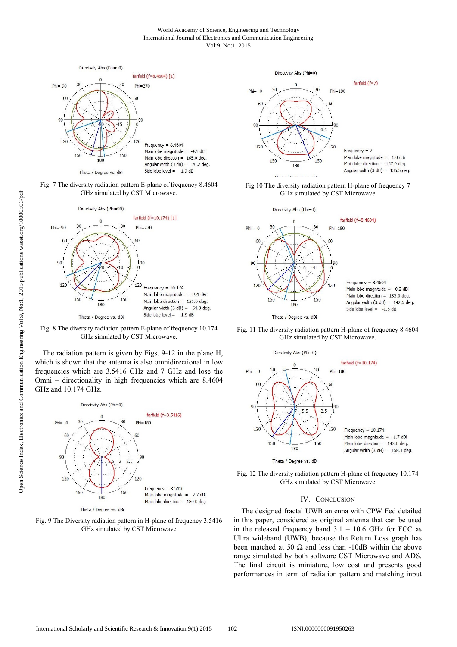#### World Academy of Science, Engineering and Technology International Journal of Electronics and Communication Engineering Vol:9, No:1, 2015



Fig. 7 The diversity radiation pattern E-plane of frequency 8.4604 GHz simulated by CST Microwave.



Fig. 8 The diversity radiation pattern E-plane of frequency 10.174 GHz simulated by CST Microwave.

The radiation pattern is given by Figs. 9-12 in the plane H, which is shown that the antenna is also omnidirectional in low frequencies which are 3.5416 GHz and 7 GHz and lose the Omni – directionality in high frequencies which are 8.4604 GHz and 10.174 GHz.







Fig.10 The diversity radiation pattern H-plane of frequency 7 GHz simulated by CST Microwave



Fig. 11 The diversity radiation pattern H-plane of frequency 8.4604 GHz simulated by CST Microwave.



Fig. 12 The diversity radiation pattern H-plane of frequency 10.174 GHz simulated by CST Microwave

## IV. CONCLUSION

The designed fractal UWB antenna with CPW Fed detailed in this paper, considered as original antenna that can be used in the released frequency band  $3.1 - 10.6$  GHz for FCC as Ultra wideband (UWB), because the Return Loss graph has been matched at 50  $\Omega$  and less than -10dB within the above range simulated by both software CST Microwave and ADS. The final circuit is miniature, low cost and presents good performances in term of radiation pattern and matching input